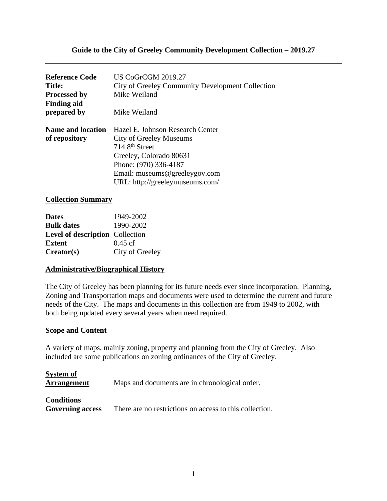## **Guide to the City of Greeley Community Development Collection – 2019.27**

| <b>US CoGrCGM 2019.27</b>                        |
|--------------------------------------------------|
| City of Greeley Community Development Collection |
| Mike Weiland                                     |
|                                                  |
| Mike Weiland                                     |
| Hazel E. Johnson Research Center                 |
| <b>City of Greeley Museums</b>                   |
| 714 8 <sup>th</sup> Street                       |
| Greeley, Colorado 80631                          |
| Phone: (970) 336-4187                            |
| Email: museums@greeleygov.com                    |
| URL: http://greeleymuseums.com/                  |
|                                                  |

#### **Collection Summary**

| <b>Dates</b>                           | 1949-2002         |
|----------------------------------------|-------------------|
| <b>Bulk dates</b>                      | 1990-2002         |
| <b>Level of description</b> Collection |                   |
| <b>Extent</b>                          | $0.45 \text{ cf}$ |
| Creator(s)                             | City of Greeley   |

### **Administrative/Biographical History**

The City of Greeley has been planning for its future needs ever since incorporation. Planning, Zoning and Transportation maps and documents were used to determine the current and future needs of the City. The maps and documents in this collection are from 1949 to 2002, with both being updated every several years when need required.

#### **Scope and Content**

A variety of maps, mainly zoning, property and planning from the City of Greeley. Also included are some publications on zoning ordinances of the City of Greeley.

| System of<br><b>Arrangement</b>              | Maps and documents are in chronological order.          |
|----------------------------------------------|---------------------------------------------------------|
| <b>Conditions</b><br><b>Governing access</b> | There are no restrictions on access to this collection. |